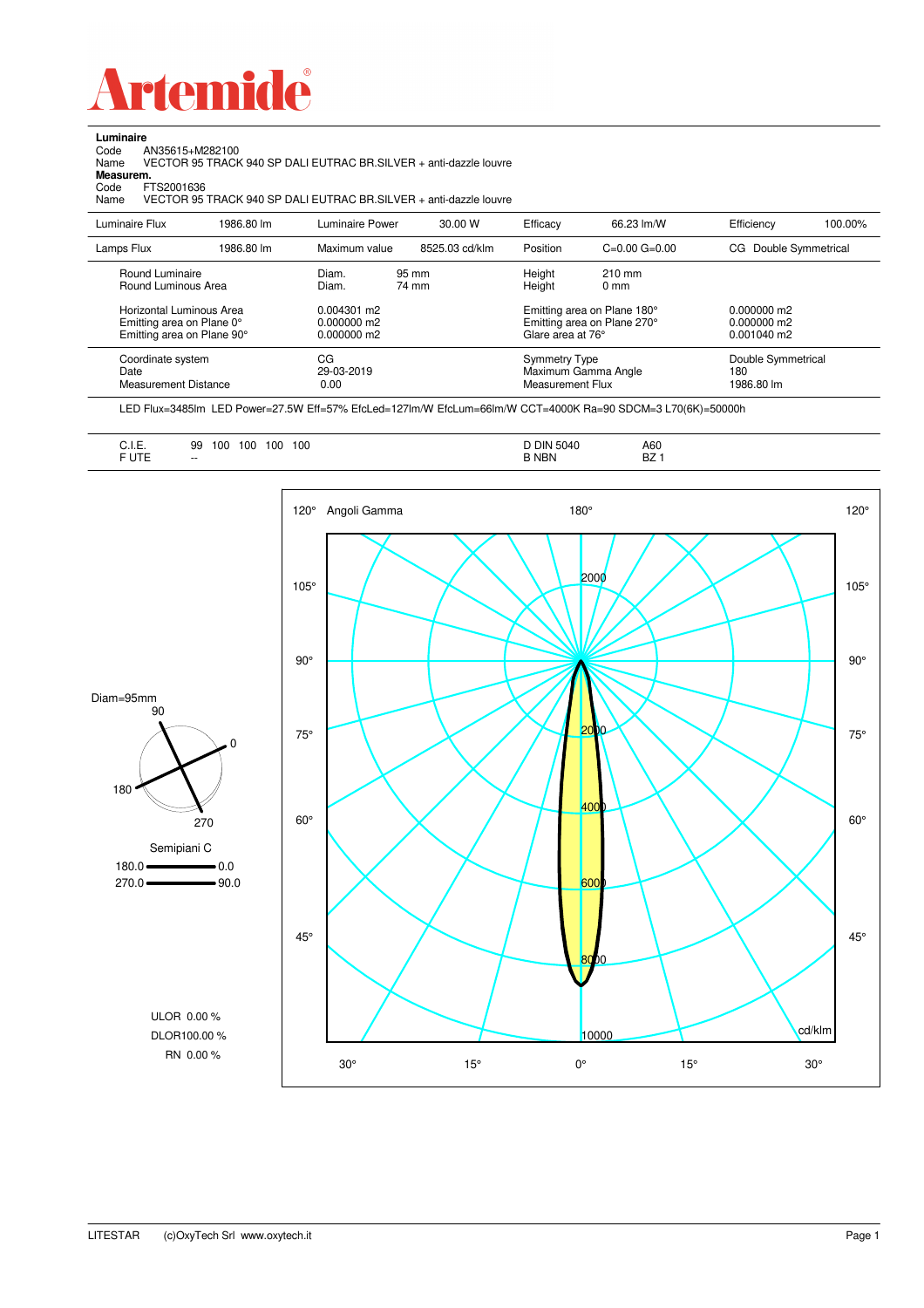

**Luminaire**<br>Code *A*<br>Name \ Code AN35615+M282100 Name VECTOR 95 TRACK 940 SP DALI EUTRAC BR.SILVER + anti-dazzle louvre

**Measurem.**

Code FTS2001636<br>Name VECTOR 95 Name VECTOR 95 TRACK 940 SP DALI EUTRAC BR.SILVER + anti-dazzle louvre

| Luminaire Flux                                                     | 1986.80 lm | Luminaire Power                 | 30.00 W        | Efficacy                                         | 66.23 lm/W                                                        | Efficiency                              | 100.00% |
|--------------------------------------------------------------------|------------|---------------------------------|----------------|--------------------------------------------------|-------------------------------------------------------------------|-----------------------------------------|---------|
| Lamps Flux                                                         | 1986.80 lm | Maximum value                   | 8525.03 cd/klm | Position                                         | $C=0.00$ $G=0.00$                                                 | Double Symmetrical<br>CG.               |         |
| Round Luminaire<br>Round Luminous Area<br>Horizontal Luminous Area |            | Diam.<br>Diam.<br>$0.004301$ m2 | 95 mm<br>74 mm | Height<br>Height                                 | $210 \text{ mm}$<br>$0 \text{ mm}$<br>Emitting area on Plane 180° | $0.000000$ m2                           |         |
| Emitting area on Plane 0°<br>Emitting area on Plane 90°            |            | $0.000000$ m2<br>$0.000000$ m2  |                | Emitting area on Plane 270°<br>Glare area at 76° |                                                                   | $0.000000$ m2<br>$0.001040$ m2          |         |
| Coordinate system<br>Date<br>Measurement Distance                  |            | CG<br>29-03-2019<br>0.00        |                | Symmetry Type<br>Measurement Flux                | Maximum Gamma Angle                                               | Double Symmetrical<br>180<br>1986.80 lm |         |

LED Flux=3485lm LED Power=27.5W Eff=57% EfcLed=127lm/W EfcLum=66lm/W CCT=4000K Ra=90 SDCM=3 L70(6K)=50000h